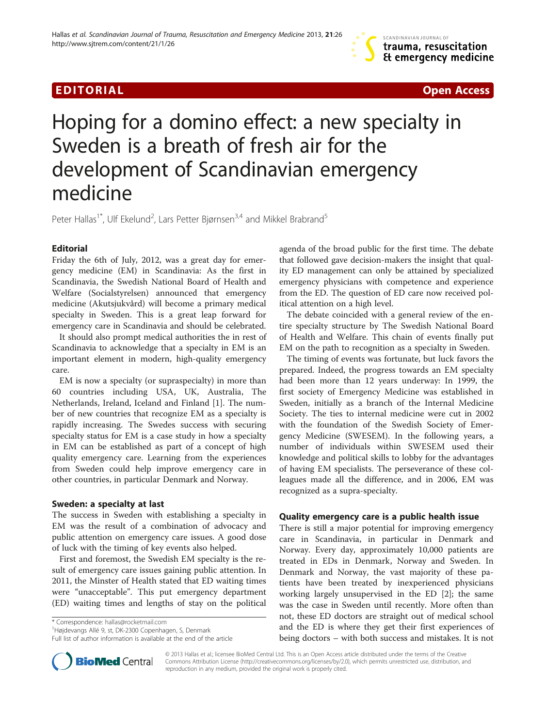

# Hoping for a domino effect: a new specialty in Sweden is a breath of fresh air for the development of Scandinavian emergency medicine

Peter Hallas<sup>1\*</sup>, Ulf Ekelund<sup>2</sup>, Lars Petter Bjørnsen<sup>3,4</sup> and Mikkel Brabrand<sup>5</sup>

# Editorial

Friday the 6th of July, 2012, was a great day for emergency medicine (EM) in Scandinavia: As the first in Scandinavia, the Swedish National Board of Health and Welfare (Socialstyrelsen) announced that emergency medicine (Akutsjukvård) will become a primary medical specialty in Sweden. This is a great leap forward for emergency care in Scandinavia and should be celebrated.

It should also prompt medical authorities the in rest of Scandinavia to acknowledge that a specialty in EM is an important element in modern, high-quality emergency care.

EM is now a specialty (or supraspecialty) in more than 60 countries including USA, UK, Australia, The Netherlands, Ireland, Iceland and Finland [\[1\]](#page-2-0). The number of new countries that recognize EM as a specialty is rapidly increasing. The Swedes success with securing specialty status for EM is a case study in how a specialty in EM can be established as part of a concept of high quality emergency care. Learning from the experiences from Sweden could help improve emergency care in other countries, in particular Denmark and Norway.

# Sweden: a specialty at last

The success in Sweden with establishing a specialty in EM was the result of a combination of advocacy and public attention on emergency care issues. A good dose of luck with the timing of key events also helped.

First and foremost, the Swedish EM specialty is the result of emergency care issues gaining public attention. In 2011, the Minster of Health stated that ED waiting times were "unacceptable". This put emergency department (ED) waiting times and lengths of stay on the political

\* Correspondence: [hallas@rocketmail.com](mailto:hallas@rocketmail.com) <sup>1</sup>

<sup>1</sup>Højdevangs Allé 9, st, DK-2300 Copenhagen, S, Denmark

Full list of author information is available at the end of the article

agenda of the broad public for the first time. The debate that followed gave decision-makers the insight that quality ED management can only be attained by specialized emergency physicians with competence and experience from the ED. The question of ED care now received political attention on a high level.

The debate coincided with a general review of the entire specialty structure by The Swedish National Board of Health and Welfare. This chain of events finally put EM on the path to recognition as a specialty in Sweden.

The timing of events was fortunate, but luck favors the prepared. Indeed, the progress towards an EM specialty had been more than 12 years underway: In 1999, the first society of Emergency Medicine was established in Sweden, initially as a branch of the Internal Medicine Society. The ties to internal medicine were cut in 2002 with the foundation of the Swedish Society of Emergency Medicine (SWESEM). In the following years, a number of individuals within SWESEM used their knowledge and political skills to lobby for the advantages of having EM specialists. The perseverance of these colleagues made all the difference, and in 2006, EM was recognized as a supra-specialty.

# Quality emergency care is a public health issue

There is still a major potential for improving emergency care in Scandinavia, in particular in Denmark and Norway. Every day, approximately 10,000 patients are treated in EDs in Denmark, Norway and Sweden. In Denmark and Norway, the vast majority of these patients have been treated by inexperienced physicians working largely unsupervised in the ED [[2\]](#page-2-0); the same was the case in Sweden until recently. More often than not, these ED doctors are straight out of medical school and the ED is where they get their first experiences of being doctors – with both success and mistakes. It is not



© 2013 Hallas et al.; licensee BioMed Central Ltd. This is an Open Access article distributed under the terms of the Creative Commons Attribution License [\(http://creativecommons.org/licenses/by/2.0\)](http://creativecommons.org/licenses/by/2.0), which permits unrestricted use, distribution, and reproduction in any medium, provided the original work is properly cited.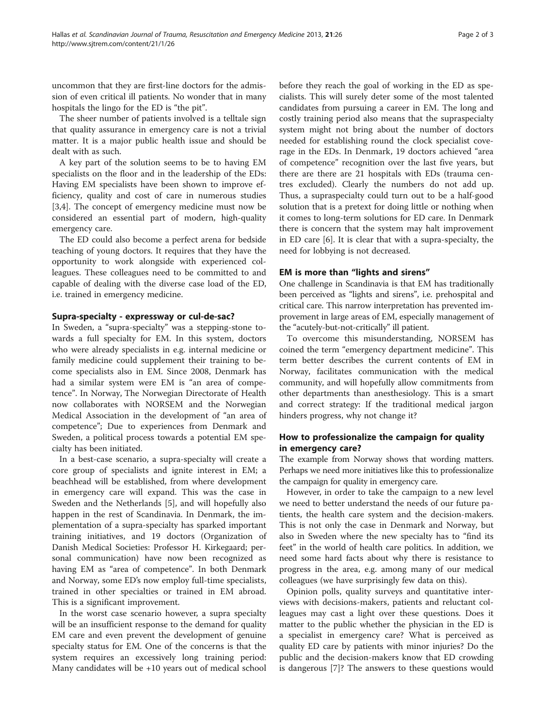uncommon that they are first-line doctors for the admission of even critical ill patients. No wonder that in many hospitals the lingo for the ED is "the pit".

The sheer number of patients involved is a telltale sign that quality assurance in emergency care is not a trivial matter. It is a major public health issue and should be dealt with as such.

A key part of the solution seems to be to having EM specialists on the floor and in the leadership of the EDs: Having EM specialists have been shown to improve efficiency, quality and cost of care in numerous studies [[3,4\]](#page-2-0). The concept of emergency medicine must now be considered an essential part of modern, high-quality emergency care.

The ED could also become a perfect arena for bedside teaching of young doctors. It requires that they have the opportunity to work alongside with experienced colleagues. These colleagues need to be committed to and capable of dealing with the diverse case load of the ED, i.e. trained in emergency medicine.

#### Supra-specialty - expressway or cul-de-sac?

In Sweden, a "supra-specialty" was a stepping-stone towards a full specialty for EM. In this system, doctors who were already specialists in e.g. internal medicine or family medicine could supplement their training to become specialists also in EM. Since 2008, Denmark has had a similar system were EM is "an area of competence". In Norway, The Norwegian Directorate of Health now collaborates with NORSEM and the Norwegian Medical Association in the development of "an area of competence"; Due to experiences from Denmark and Sweden, a political process towards a potential EM specialty has been initiated.

In a best-case scenario, a supra-specialty will create a core group of specialists and ignite interest in EM; a beachhead will be established, from where development in emergency care will expand. This was the case in Sweden and the Netherlands [[5\]](#page-2-0), and will hopefully also happen in the rest of Scandinavia. In Denmark, the implementation of a supra-specialty has sparked important training initiatives, and 19 doctors (Organization of Danish Medical Societies: Professor H. Kirkegaard; personal communication) have now been recognized as having EM as "area of competence". In both Denmark and Norway, some ED's now employ full-time specialists, trained in other specialties or trained in EM abroad. This is a significant improvement.

In the worst case scenario however, a supra specialty will be an insufficient response to the demand for quality EM care and even prevent the development of genuine specialty status for EM. One of the concerns is that the system requires an excessively long training period: Many candidates will be +10 years out of medical school

before they reach the goal of working in the ED as specialists. This will surely deter some of the most talented candidates from pursuing a career in EM. The long and costly training period also means that the supraspecialty system might not bring about the number of doctors needed for establishing round the clock specialist coverage in the EDs. In Denmark, 19 doctors achieved "area of competence" recognition over the last five years, but there are there are 21 hospitals with EDs (trauma centres excluded). Clearly the numbers do not add up. Thus, a supraspecialty could turn out to be a half-good solution that is a pretext for doing little or nothing when it comes to long-term solutions for ED care. In Denmark there is concern that the system may halt improvement in ED care [\[6](#page-2-0)]. It is clear that with a supra-specialty, the need for lobbying is not decreased.

# EM is more than "lights and sirens"

One challenge in Scandinavia is that EM has traditionally been perceived as "lights and sirens", i.e. prehospital and critical care. This narrow interpretation has prevented improvement in large areas of EM, especially management of the "acutely-but-not-critically" ill patient.

To overcome this misunderstanding, NORSEM has coined the term "emergency department medicine". This term better describes the current contents of EM in Norway, facilitates communication with the medical community, and will hopefully allow commitments from other departments than anesthesiology. This is a smart and correct strategy: If the traditional medical jargon hinders progress, why not change it?

# How to professionalize the campaign for quality in emergency care?

The example from Norway shows that wording matters. Perhaps we need more initiatives like this to professionalize the campaign for quality in emergency care.

However, in order to take the campaign to a new level we need to better understand the needs of our future patients, the health care system and the decision-makers. This is not only the case in Denmark and Norway, but also in Sweden where the new specialty has to "find its feet" in the world of health care politics. In addition, we need some hard facts about why there is resistance to progress in the area, e.g. among many of our medical colleagues (we have surprisingly few data on this).

Opinion polls, quality surveys and quantitative interviews with decisions-makers, patients and reluctant colleagues may cast a light over these questions. Does it matter to the public whether the physician in the ED is a specialist in emergency care? What is perceived as quality ED care by patients with minor injuries? Do the public and the decision-makers know that ED crowding is dangerous [\[7](#page-2-0)]? The answers to these questions would